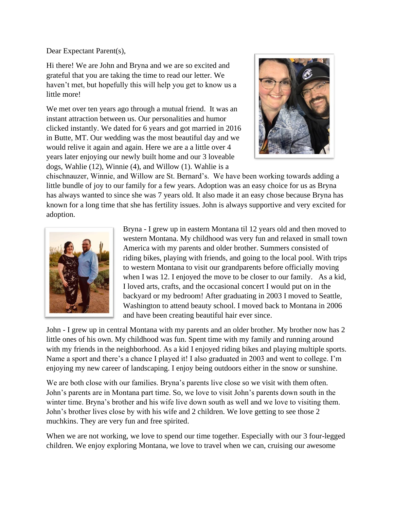Dear Expectant Parent(s),

Hi there! We are John and Bryna and we are so excited and grateful that you are taking the time to read our letter. We haven't met, but hopefully this will help you get to know us a little more!

We met over ten years ago through a mutual friend. It was an instant attraction between us. Our personalities and humor clicked instantly. We dated for 6 years and got married in 2016 in Butte, MT. Our wedding was the most beautiful day and we would relive it again and again. Here we are a a little over 4 years later enjoying our newly built home and our 3 loveable dogs, Wahlie (12), Winnie (4), and Willow (1). Wahlie is a



chischnauzer, Winnie, and Willow are St. Bernard's. We have been working towards adding a little bundle of joy to our family for a few years. Adoption was an easy choice for us as Bryna has always wanted to since she was 7 years old. It also made it an easy chose because Bryna has known for a long time that she has fertility issues. John is always supportive and very excited for adoption.



Bryna - I grew up in eastern Montana til 12 years old and then moved to western Montana. My childhood was very fun and relaxed in small town America with my parents and older brother. Summers consisted of riding bikes, playing with friends, and going to the local pool. With trips to western Montana to visit our grandparents before officially moving when I was 12. I enjoyed the move to be closer to our family. As a kid, I loved arts, crafts, and the occasional concert I would put on in the backyard or my bedroom! After graduating in 2003 I moved to Seattle, Washington to attend beauty school. I moved back to Montana in 2006 and have been creating beautiful hair ever since.

John - I grew up in central Montana with my parents and an older brother. My brother now has 2 little ones of his own. My childhood was fun. Spent time with my family and running around with my friends in the neighborhood. As a kid I enjoyed riding bikes and playing multiple sports. Name a sport and there's a chance I played it! I also graduated in 2003 and went to college. I'm enjoying my new career of landscaping. I enjoy being outdoors either in the snow or sunshine.

We are both close with our families. Bryna's parents live close so we visit with them often. John's parents are in Montana part time. So, we love to visit John's parents down south in the winter time. Bryna's brother and his wife live down south as well and we love to visiting them. John's brother lives close by with his wife and 2 children. We love getting to see those 2 muchkins. They are very fun and free spirited.

When we are not working, we love to spend our time together. Especially with our 3 four-legged children. We enjoy exploring Montana, we love to travel when we can, cruising our awesome